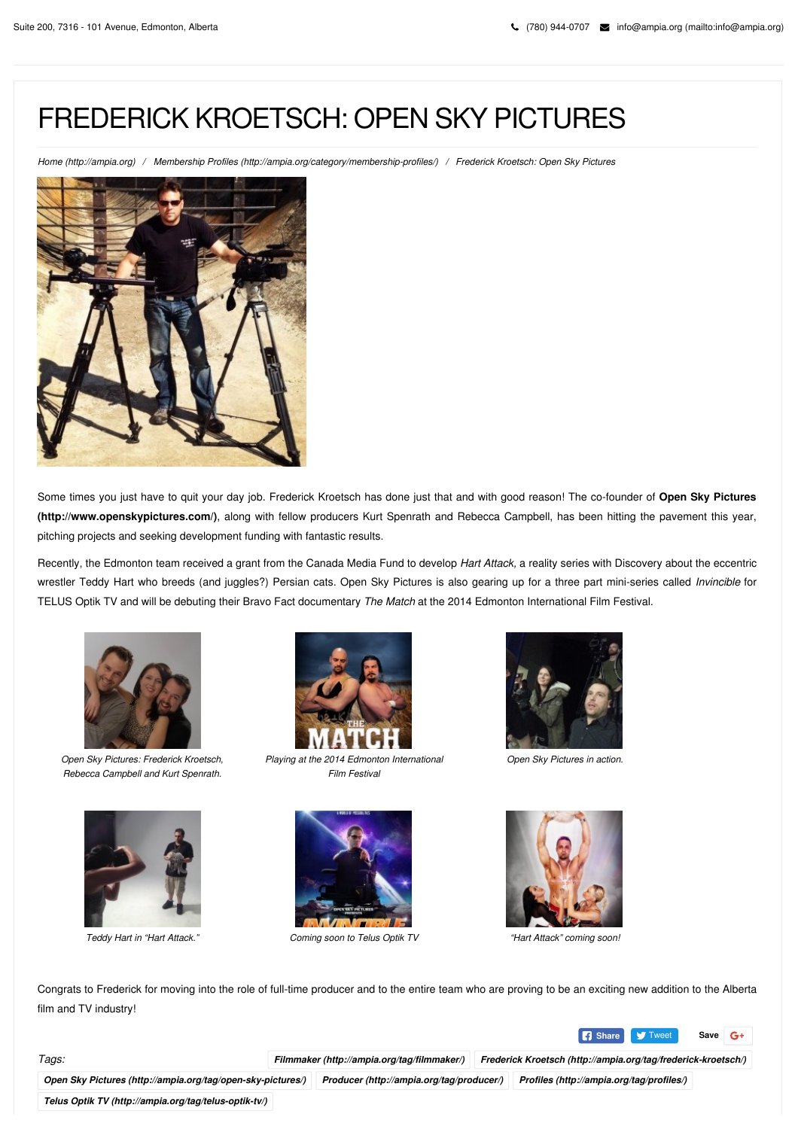## FREDERICK KROETSCH: OPEN SKY PICTURES

*Home [\(http://ampia.org\)](http://ampia.org/) / Membership Profiles [\(http://ampia.org/category/membership-profiles/\)](http://ampia.org/category/membership-profiles/) / Frederick Kroetsch: Open Sky Pictures*



Some times you just have to quit your day job. Frederick Kroetsch has done just that and with good reason! The co-founder of **Open Sky Pictures [\(http://www.openskypictures.com/\)](http://www.openskypictures.com/)**, along with fellow producers Kurt Spenrath and Rebecca Campbell, has been hitting the pavement this year, pitching projects and seeking development funding with fantastic results.

Recently, the Edmonton team received a grant from the Canada Media Fund to develop *Hart Attack,* a reality series with Discovery about the eccentric wrestler Teddy Hart who breeds (and juggles?) Persian cats. Open Sky Pictures is also gearing up for a three part mini-series called *Invincible* for TELUS Optik TV and will be debuting their Bravo Fact documentary *The Match* at the 2014 Edmonton International Film Festival.



*Open Sky Pictures: Frederick Kroetsch, Rebecca Campbell and Kurt Spenrath.*





*Playing at the 2014 Edmonton International Film Festival*



*Teddy Hart in "Hart Attack." Coming soon to Telus Optik TV "Hart Attack" coming soon!*



*Open Sky Pictures in action.*



Congrats to Frederick for moving into the role of full-time producer and to the entire team who are proving to be an exciting new addition to the Alberta film and TV industry!



*Tags: Filmmaker [\(http://ampia.org/tag/filmmaker/\)](http://ampia.org/tag/filmmaker/) Frederick Kroetsch [\(http://ampia.org/tag/frederick-kroetsch/\)](http://ampia.org/tag/frederick-kroetsch/)*

*Open Sky Pictures [\(http://ampia.org/tag/open-sky-pictures/\)](http://ampia.org/tag/open-sky-pictures/) Producer [\(http://ampia.org/tag/producer/\)](http://ampia.org/tag/producer/) Profiles [\(http://ampia.org/tag/profiles/\)](http://ampia.org/tag/profiles/)*